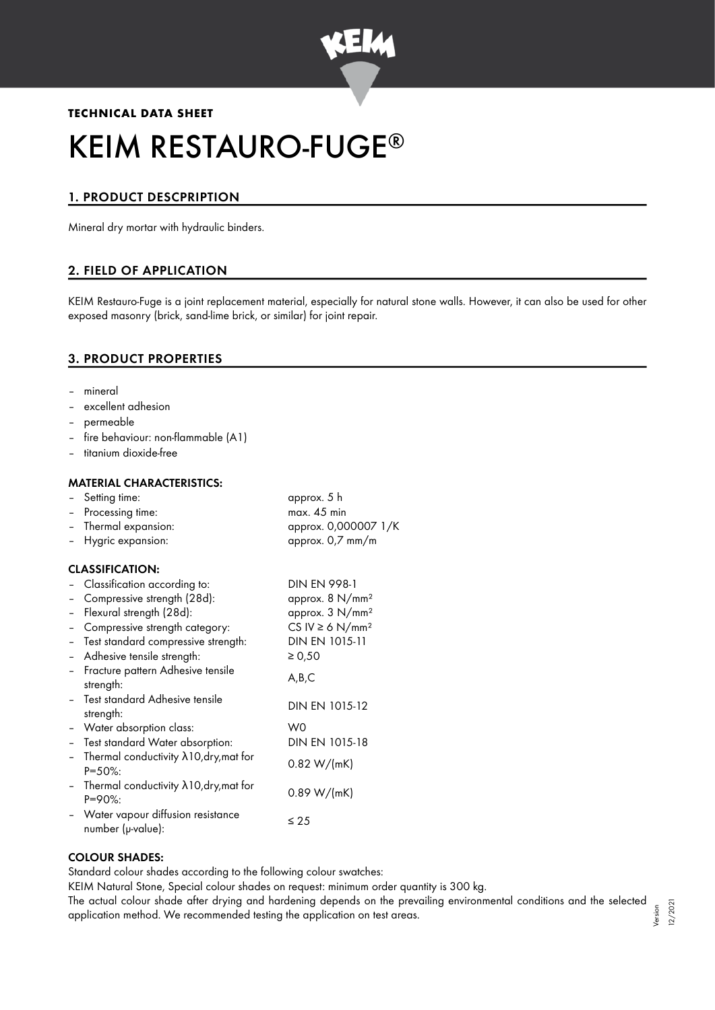

# **TECHNICAL DATA SHEET** KEIM RESTAURO-FUGE ®

# 1. PRODUCT DESCPRIPTION

Mineral dry mortar with hydraulic binders.

# 2. FIELD OF APPLICATION

KEIM Restauro-Fuge is a joint replacement material, especially for natural stone walls. However, it can also be used for other exposed masonry (brick, sand-lime brick, or similar) for joint repair.

## 3. PRODUCT PROPERTIES

- mineral
- excellent adhesion
- permeable
- fire behaviour: non-flammable (A1)
- titanium dioxide-free

#### MATERIAL CHARACTERISTICS:

|                          | Setting time:                                                     | approx. 5 h                      |
|--------------------------|-------------------------------------------------------------------|----------------------------------|
| $-$                      | Processing time:                                                  | max. 45 min                      |
|                          | Thermal expansion:                                                | approx. 0,000007 1/K             |
|                          | Hygric expansion:                                                 | approx. 0,7 mm/m                 |
|                          | <b>CLASSIFICATION:</b>                                            |                                  |
|                          | Classification according to:                                      | <b>DIN EN 998-1</b>              |
|                          | Compressive strength (28d):                                       | approx. 8 N/mm <sup>2</sup>      |
| $\overline{\phantom{a}}$ | Flexural strength (28d):                                          | approx. 3 N/mm <sup>2</sup>      |
|                          | Compressive strength category:                                    | CS IV $\geq 6$ N/mm <sup>2</sup> |
|                          | Test standard compressive strength:                               | DIN EN 1015-11                   |
|                          | Adhesive tensile strength:                                        | $\ge 0,50$                       |
|                          | Fracture pattern Adhesive tensile<br>strength:                    | A,B,C                            |
|                          | Test standard Adhesive tensile<br>strength:                       | DIN EN 1015-12                   |
|                          | - Water absorption class:                                         | W0                               |
|                          | - Test standard Water absorption:                                 | DIN EN 1015-18                   |
|                          | Thermal conductivity $\lambda$ 10, dry, mat for<br>$P = 50\%$ :   | 0.82 W/(mK)                      |
|                          | - Thermal conductivity $\lambda$ 10, dry, mat for<br>$P = 90\%$ : | 0.89 W/(mK)                      |
|                          | Water vapour diffusion resistance<br>number (µ-value):            | $\leq 25$                        |

#### COLOUR SHADES:

Standard colour shades according to the following colour swatches:

KEIM Natural Stone, Special colour shades on request: minimum order quantity is 300 kg.

The actual colour shade after drying and hardening depends on the prevailing environmental conditions and the selected application method. We recommended testing the application on test areas. Version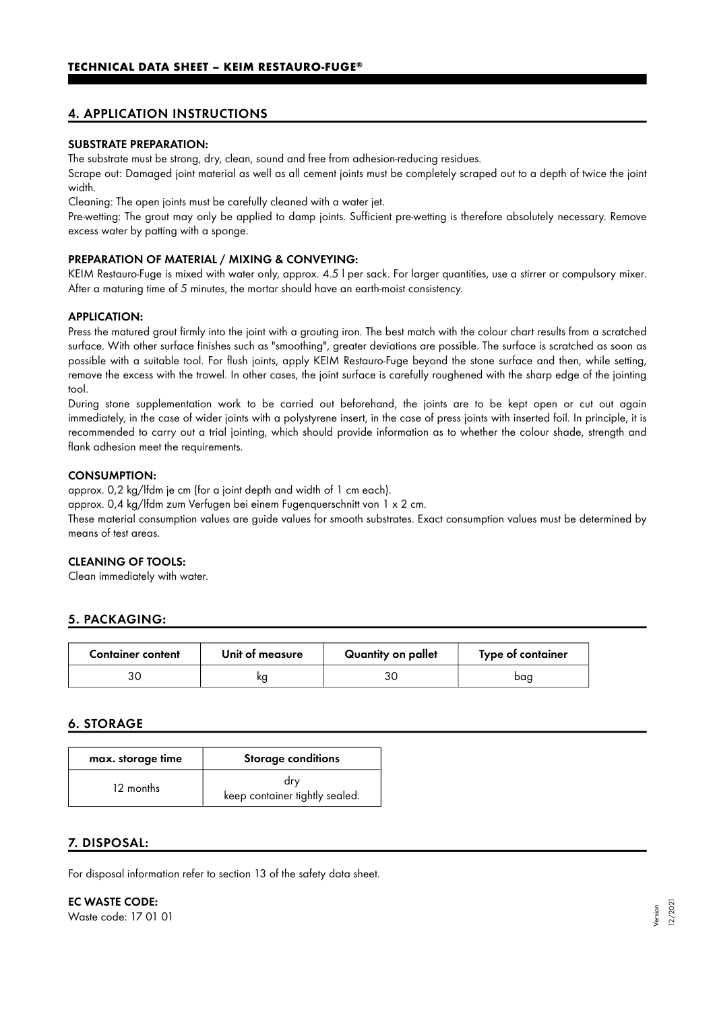# 4. APPLICATION INSTRUCTIONS

#### SUBSTRATE PREPARATION:

The substrate must be strong, dry, clean, sound and free from adhesion-reducing residues.

Scrape out: Damaged joint material as well as all cement joints must be completely scraped out to a depth of twice the joint width.

Cleaning: The open joints must be carefully cleaned with a water jet.

Pre-wetting: The grout may only be applied to damp joints. Sufficient pre-wetting is therefore absolutely necessary. Remove excess water by patting with a sponge.

#### PREPARATION OF MATERIAL / MIXING & CONVEYING:

KEIM Restauro-Fuge is mixed with water only, approx. 4.5 l per sack. For larger quantities, use a stirrer or compulsory mixer. After a maturing time of 5 minutes, the mortar should have an earth-moist consistency.

#### APPLICATION:

Press the matured grout firmly into the joint with a grouting iron. The best match with the colour chart results from a scratched surface. With other surface finishes such as "smoothing", greater deviations are possible. The surface is scratched as soon as possible with a suitable tool. For flush joints, apply KEIM Restauro-Fuge beyond the stone surface and then, while setting, remove the excess with the trowel. In other cases, the joint surface is carefully roughened with the sharp edge of the jointing tool.

During stone supplementation work to be carried out beforehand, the joints are to be kept open or cut out again immediately, in the case of wider joints with a polystyrene insert, in the case of press joints with inserted foil. In principle, it is recommended to carry out a trial jointing, which should provide information as to whether the colour shade, strength and flank adhesion meet the requirements.

#### CONSUMPTION:

approx. 0,2 kg/lfdm je cm (for a joint depth and width of 1 cm each).

approx. 0,4 kg/lfdm zum Verfugen bei einem Fugenquerschnitt von 1 x 2 cm.

These material consumption values are guide values for smooth substrates. Exact consumption values must be determined by means of test areas.

#### CLEANING OF TOOLS:

Clean immediately with water.

## 5. PACKAGING:

| <b>Container content</b> | Unit of measure | Quantity on pallet | Type of container |
|--------------------------|-----------------|--------------------|-------------------|
|                          | ĸg              |                    | baa               |

## 6. STORAGE

| max. storage time | <b>Storage conditions</b>             |
|-------------------|---------------------------------------|
| 12 months         | drv<br>keep container tightly sealed. |

## 7. DISPOSAL:

For disposal information refer to section 13 of the safety data sheet.

EC WASTE CODE: Waste code: 17 01 01